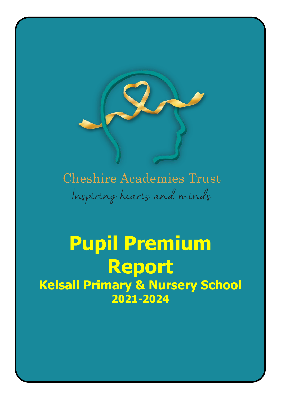

# **Cheshire Academies Trust** Inspiring hearts and minds

# **Pupil Premium Report Kelsall Primary & Nursery School 2021-2024**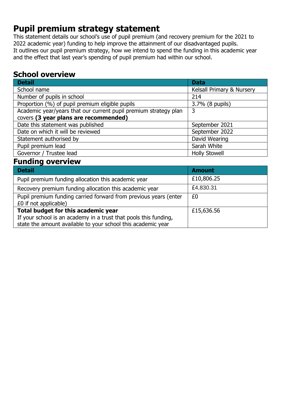# **Pupil premium strategy statement**

This statement details our school's use of pupil premium (and recovery premium for the 2021 to 2022 academic year) funding to help improve the attainment of our disadvantaged pupils. It outlines our pupil premium strategy, how we intend to spend the funding in this academic year and the effect that last year's spending of pupil premium had within our school.

## **School overview**

| <b>Detail</b>                                                    | <b>Data</b>               |
|------------------------------------------------------------------|---------------------------|
| School name                                                      | Kelsall Primary & Nursery |
| Number of pupils in school                                       | 214                       |
| Proportion (%) of pupil premium eligible pupils                  | 3.7% (8 pupils)           |
| Academic year/years that our current pupil premium strategy plan | 3                         |
| covers (3 year plans are recommended)                            |                           |
| Date this statement was published                                | September 2021            |
| Date on which it will be reviewed                                | September 2022            |
| Statement authorised by                                          | David Wearing             |
| Pupil premium lead                                               | Sarah White               |
| Governor / Trustee lead                                          | <b>Holly Stowell</b>      |

## **Funding overview**

| <b>Detail</b>                                                    | <b>Amount</b> |
|------------------------------------------------------------------|---------------|
| Pupil premium funding allocation this academic year              | £10,806.25    |
| Recovery premium funding allocation this academic year           | £4,830.31     |
| Pupil premium funding carried forward from previous years (enter | £0            |
| £0 if not applicable)                                            |               |
| Total budget for this academic year                              | £15,636.56    |
| If your school is an academy in a trust that pools this funding, |               |
| state the amount available to your school this academic year     |               |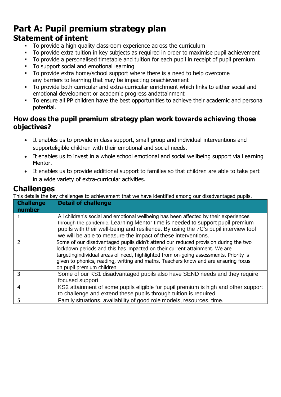## **Part A: Pupil premium strategy plan Statement of intent**

- To provide a high quality classroom experience across the curriculum
- To provide extra tuition in key subjects as required in order to maximise pupil achievement
- To provide a personalised timetable and tuition for each pupil in receipt of pupil premium
- To support social and emotional learning
- To provide extra home/school support where there is a need to help overcome any barriers to learning that may be impacting onachievement
- To provide both curricular and extra-curricular enrichment which links to either social and emotional development or academic progress andattainment
- To ensure all PP children have the best opportunities to achieve their academic and personal potential.

### **How does the pupil premium strategy plan work towards achieving those objectives?**

- It enables us to provide in class support, small group and individual interventions and supporteligible children with their emotional and social needs.
- It enables us to invest in a whole school emotional and social wellbeing support via Learning Mentor.
- It enables us to provide additional support to families so that children are able to take part in a wide variety of extra-curricular activities.

## **Challenges**

This details the key challenges to achievement that we have identified among our disadvantaged pupils.

| <b>Challenge</b><br>number | <b>Detail of challenge</b>                                                                                                                                                                                                                                                                                                                                                    |
|----------------------------|-------------------------------------------------------------------------------------------------------------------------------------------------------------------------------------------------------------------------------------------------------------------------------------------------------------------------------------------------------------------------------|
|                            | All children's social and emotional wellbeing has been affected by their experiences<br>through the pandemic. Learning Mentor time is needed to support pupil premium<br>pupils with their well-being and resilience. By using the 7C's pupil interview tool<br>we will be able to measure the impact of these interventions.                                                 |
|                            | Some of our disadvantaged pupils didn't attend our reduced provision during the two<br>lockdown periods and this has impacted on their current attainment. We are<br>targetingindividual areas of need, highlighted from on-going assessments. Priority is<br>given to phonics, reading, writing and maths. Teachers know and are ensuring focus<br>on pupil premium children |
| 3                          | Some of our KS1 disadvantaged pupils also have SEND needs and they require<br>focused support.                                                                                                                                                                                                                                                                                |
| 4                          | KS2 attainment of some pupils eligible for pupil premium is high and other support<br>to challenge and extend these pupils through tuition is required.                                                                                                                                                                                                                       |
| 5                          | Family situations, availability of good role models, resources, time.                                                                                                                                                                                                                                                                                                         |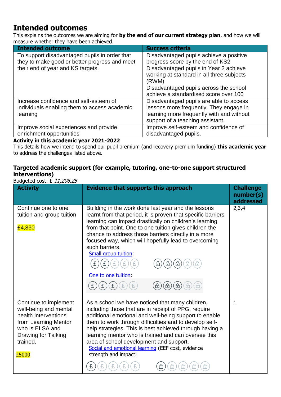## **Intended outcomes**

This explains the outcomes we are aiming for **by the end of our current strategy plan**, and how we will measure whether they have been achieved.

| <b>Intended outcome</b>                                                                                                             | <b>Success criteria</b>                                                                                                                                                     |
|-------------------------------------------------------------------------------------------------------------------------------------|-----------------------------------------------------------------------------------------------------------------------------------------------------------------------------|
| To support disadvantaged pupils in order that<br>they to make good or better progress and meet<br>their end of year and KS targets. | Disadvantaged pupils achieve a positive<br>progress score by the end of KS2<br>Disadvantaged pupils in Year 2 achieve<br>working at standard in all three subjects<br>(RWM) |
|                                                                                                                                     | Disadvantaged pupils across the school<br>achieve a standardised score over 100                                                                                             |
| Increase confidence and self-esteem of<br>individuals enabling them to access academic<br>learning                                  | Disadvantaged pupils are able to access<br>lessons more frequently. They engage in<br>learning more frequently with and without<br>support of a teaching assistant.         |
| Improve social experiences and provide                                                                                              | Improve self-esteem and confidence of                                                                                                                                       |
| enrichment opportunities                                                                                                            | disadvantaged pupils.                                                                                                                                                       |

#### **Activity in this academic year 2021-2022**

This details how we intend to spend our pupil premium (and recovery premium funding) **this academic year** to address the challenges listed above.

#### **Targeted academic support (for example, tutoring, one-to-one support structured interventions)**

Budgeted cost: £ 11,206,25

| <b>Activity</b>                                                                                                                                               | <b>Evidence that supports this approach</b>                                                                                                                                                                                                                                                                                                                                                                                                                         | <b>Challenge</b><br>number(s)<br>addressed |
|---------------------------------------------------------------------------------------------------------------------------------------------------------------|---------------------------------------------------------------------------------------------------------------------------------------------------------------------------------------------------------------------------------------------------------------------------------------------------------------------------------------------------------------------------------------------------------------------------------------------------------------------|--------------------------------------------|
| Continue one to one<br>tuition and group tuition<br>£4,830                                                                                                    | Building in the work done last year and the lessons<br>learnt from that period, it is proven that specific barriers<br>learning can impact drastically on children's learning<br>from that point. One to one tuition gives children the<br>chance to address those barriers directly in a more<br>focused way, which will hopefully lead to overcoming<br>such barriers.<br>Small group tuition:<br>⊕<br>⊕<br>One to one tuition:                                   | 2,3,4                                      |
| Continue to implement<br>well-being and mental<br>health interventions<br>from Learning Mentor<br>who is ELSA and<br>Drawing for Talking<br>trained.<br>£5000 | As a school we have noticed that many children,<br>including those that are in receipt of PPG, require<br>additional emotional and well-being support to enable<br>them to work through difficulties and to develop self-<br>help strategies. This is best achieved through having a<br>learning mentor who is trained and can oversee this<br>area of school development and support.<br>Social and emotional learning (EEF cost, evidence<br>strength and impact: | $\mathbf{1}$                               |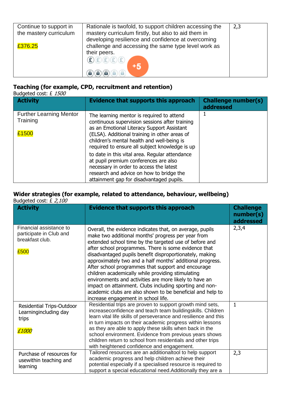| Continue to support in<br>the mastery curriculum | Rationale is twofold, to support children accessing the                                                   | 2,3 |
|--------------------------------------------------|-----------------------------------------------------------------------------------------------------------|-----|
|                                                  | mastery curriculum firstly, but also to aid them in<br>developing resilience and confidence at overcoming |     |
| £376.25                                          | challenge and accessing the same type level work as                                                       |     |
|                                                  | their peers.                                                                                              |     |
|                                                  | $\mathbf{E}(\mathbf{E})\mathbf{E}(\mathbf{E})\mathbf{E}(\mathbf{E})$<br>+5                                |     |
|                                                  |                                                                                                           |     |

#### **Teaching (for example, CPD, recruitment and retention)**

Budgeted cost: £ 1500

| <b>Activity</b>                                     | Evidence that supports this approach                                                                                                                                                                                                                                                       | <b>Challenge number(s)</b><br>addressed |
|-----------------------------------------------------|--------------------------------------------------------------------------------------------------------------------------------------------------------------------------------------------------------------------------------------------------------------------------------------------|-----------------------------------------|
| <b>Further Learning Mentor</b><br>Training<br>£1500 | The learning mentor is required to attend<br>continuous supervision sessions after training<br>as an Emotional Literacy Support Assistant<br>(ELSA). Additional training in other areas of<br>children's mental health and well-being is<br>required to ensure all subject knowledge is up |                                         |
|                                                     | to date in this vital area. Regular attendance<br>at pupil premium conferences are also<br>necessary in order to access the latest<br>research and advice on how to bridge the<br>attainment gap for disadvantaged pupils.                                                                 |                                         |

#### **Wider strategies (for example, related to attendance, behaviour, wellbeing)** Budgeted cost: £ 2,100

| $\frac{1}{2}$<br><b>Activity</b>                                              | <b>Evidence that supports this approach</b>                                                                                                                                                                                                                                                                                                                                                                                                                                                                                                                                                                                                                                                   | <b>Challenge</b><br>number(s)<br>addressed |
|-------------------------------------------------------------------------------|-----------------------------------------------------------------------------------------------------------------------------------------------------------------------------------------------------------------------------------------------------------------------------------------------------------------------------------------------------------------------------------------------------------------------------------------------------------------------------------------------------------------------------------------------------------------------------------------------------------------------------------------------------------------------------------------------|--------------------------------------------|
| Financial assistance to<br>participate in Club and<br>breakfast club.<br>£500 | Overall, the evidence indicates that, on average, pupils<br>make two additional months' progress per year from<br>extended school time by the targeted use of before and<br>after school programmes. There is some evidence that<br>disadvantaged pupils benefit disproportionately, making<br>approximately two and a half months' additional progress.<br>After school programmes that support and encourage<br>children academically while providing stimulating<br>environments and activities are more likely to have an<br>impact on attainment. Clubs including sporting and non-<br>academic clubs are also shown to be beneficial and help to<br>increase engagement in school life. | 2,3,4                                      |
| Residential Trips-Outdoor<br>Learningincluding day<br>trips<br>£1000          | Residential trips are proven to support growth mind sets,<br>increaseconfidence and teach team buildingskills. Children<br>learn vital life skills of perseverance and resilience and this<br>in turn impacts on their academic progress within lessons<br>as they are able to apply these skills when back in the<br>school environment. Evidence from previous years shows<br>children return to school from residentials and other trips<br>with heightened confidence and engagement.                                                                                                                                                                                                     | $\mathbf{1}$                               |
| Purchase of resources for<br>usewithin teaching and<br>learning               | Tailored resources are an additionaltool to help support<br>academic progress and help children achieve their<br>potential especially if a specialised resource is required to<br>support a special educational need. Additionally they are a                                                                                                                                                                                                                                                                                                                                                                                                                                                 | 2,3                                        |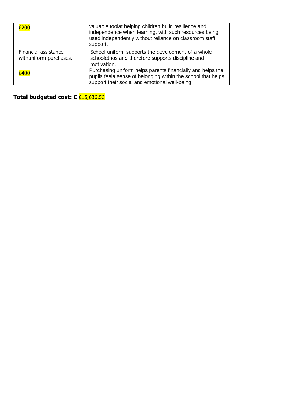| £200                                           | valuable toolat helping children build resilience and<br>independence when learning, with such resources being<br>used independently without reliance on classroom staff<br>support. |  |
|------------------------------------------------|--------------------------------------------------------------------------------------------------------------------------------------------------------------------------------------|--|
| Financial assistance<br>withuniform purchases. | School uniform supports the development of a whole<br>schoolethos and therefore supports discipline and<br>motivation.                                                               |  |
| £400                                           | Purchasing uniform helps parents financially and helps the<br>pupils feela sense of belonging within the school that helps<br>support their social and emotional well-being.         |  |

**Total budgeted cost: £** £15,636.56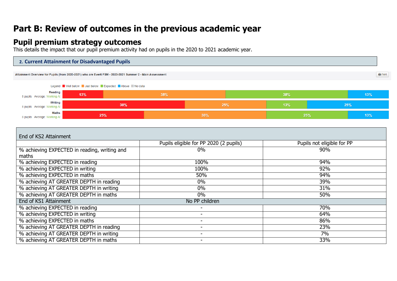# **Part B: Review of outcomes in the previous academic year**

## **Pupil premium strategy outcomes**

This details the impact that our pupil premium activity had on pupils in the 2020 to 2021 academic year.



| End of KS2 Attainment                                 |                                        |                            |  |  |  |  |  |
|-------------------------------------------------------|----------------------------------------|----------------------------|--|--|--|--|--|
|                                                       | Pupils eligible for PP 2020 (2 pupils) | Pupils not eligible for PP |  |  |  |  |  |
| % achieving EXPECTED in reading, writing and<br>maths | $0\%$                                  | 90%                        |  |  |  |  |  |
| % achieving EXPECTED in reading                       | 100%                                   | 94%                        |  |  |  |  |  |
| % achieving EXPECTED in writing                       | 100%                                   | 92%                        |  |  |  |  |  |
| % achieving EXPECTED in maths                         | 50%                                    | 94%                        |  |  |  |  |  |
| % achieving AT GREATER DEPTH in reading               | $0\%$                                  | 39%                        |  |  |  |  |  |
| % achieving AT GREATER DEPTH in writing               | $0\%$                                  | 31%                        |  |  |  |  |  |
| % achieving AT GREATER DEPTH in maths                 | $0\%$                                  | 50%                        |  |  |  |  |  |
| End of KS1 Attainment                                 | No PP children                         |                            |  |  |  |  |  |
| % achieving EXPECTED in reading                       | ۰                                      | 70%                        |  |  |  |  |  |
| % achieving EXPECTED in writing                       | ۰                                      | 64%                        |  |  |  |  |  |
| % achieving EXPECTED in maths                         | ۰                                      | 86%                        |  |  |  |  |  |
| % achieving AT GREATER DEPTH in reading               | -                                      | 23%                        |  |  |  |  |  |
| % achieving AT GREATER DEPTH in writing               |                                        | 7%                         |  |  |  |  |  |
| % achieving AT GREATER DEPTH in maths                 |                                        | 33%                        |  |  |  |  |  |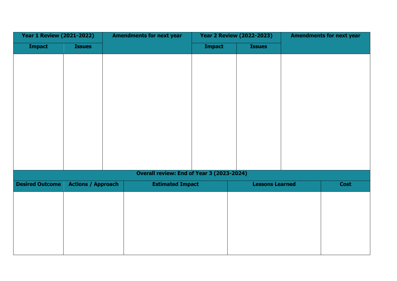| <b>Year 1 Review (2021-2022)</b> |                           | <b>Amendments for next year</b> |                         | <b>Year 2 Review (2022-2023)</b>          |  | <b>Amendments for next year</b> |             |
|----------------------------------|---------------------------|---------------------------------|-------------------------|-------------------------------------------|--|---------------------------------|-------------|
| <b>Impact</b>                    | <b>Issues</b>             |                                 |                         | <b>Impact</b>                             |  | <b>Issues</b>                   |             |
|                                  |                           |                                 |                         |                                           |  |                                 |             |
|                                  |                           |                                 |                         |                                           |  |                                 |             |
|                                  |                           |                                 |                         |                                           |  |                                 |             |
|                                  |                           |                                 |                         |                                           |  |                                 |             |
|                                  |                           |                                 |                         |                                           |  |                                 |             |
|                                  |                           |                                 |                         |                                           |  |                                 |             |
|                                  |                           |                                 |                         |                                           |  |                                 |             |
|                                  |                           |                                 |                         |                                           |  |                                 |             |
|                                  |                           |                                 |                         |                                           |  |                                 |             |
|                                  |                           |                                 |                         |                                           |  |                                 |             |
|                                  |                           |                                 |                         |                                           |  |                                 |             |
|                                  |                           |                                 |                         | Overall review: End of Year 3 (2023-2024) |  |                                 |             |
| <b>Desired Outcome</b>           | <b>Actions / Approach</b> |                                 | <b>Estimated Impact</b> |                                           |  | <b>Lessons Learned</b>          | <b>Cost</b> |
|                                  |                           |                                 |                         |                                           |  |                                 |             |
|                                  |                           |                                 |                         |                                           |  |                                 |             |
|                                  |                           |                                 |                         |                                           |  |                                 |             |
|                                  |                           |                                 |                         |                                           |  |                                 |             |
|                                  |                           |                                 |                         |                                           |  |                                 |             |
|                                  |                           |                                 |                         |                                           |  |                                 |             |